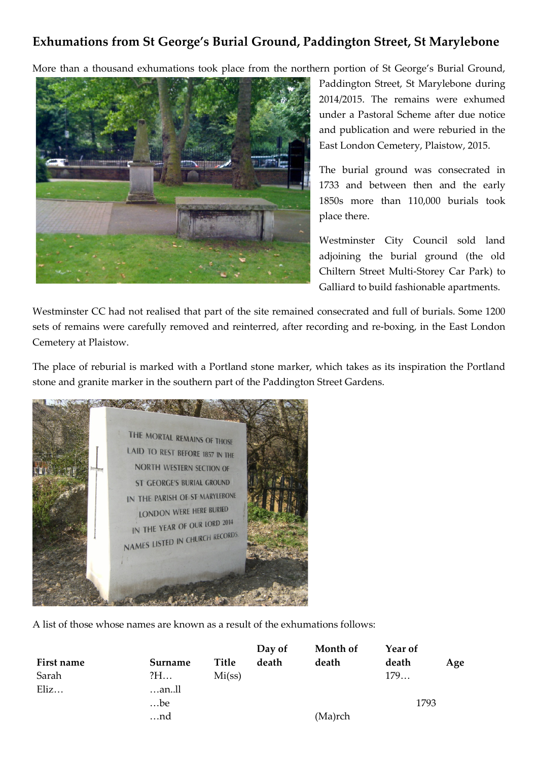## **Exhumations from St George's Burial Ground, Paddington Street, St Marylebone**

More than a thousand exhumations took place from the northern portion of St George's Burial Ground,



Paddington Street, St Marylebone during 2014/2015. The remains were exhumed under a Pastoral Scheme after due notice and publication and were reburied in the East London Cemetery, Plaistow, 2015.

The burial ground was consecrated in 1733 and between then and the early 1850s more than 110,000 burials took place there.

Westminster City Council sold land adjoining the burial ground (the old Chiltern Street Multi-Storey Car Park) to Galliard to build fashionable apartments.

Westminster CC had not realised that part of the site remained consecrated and full of burials. Some 1200 sets of remains were carefully removed and reinterred, after recording and re-boxing, in the East London Cemetery at Plaistow.

The place of reburial is marked with a Portland stone marker, which takes as its inspiration the Portland stone and granite marker in the southern part of the Paddington Street Gardens.

THE MORTAL REMAINS OF THOSE **LAID TO REST BEFORE 1857 IN THE NORTH WESTERN SECTION OF ST GEORGE'S BURIAL GROUND** IN THE PARISH OF ST MARYLEBONE LONDON WERE HERE BURIED IN THE YEAR OF OUR LORD 2014 IN THE YEAR OF COMPARE AND THE YEAR OF COMPANY RECORDS

A list of those whose names are known as a result of the exhumations follows:

|         |        | Day of | Month of | Year of |     |
|---------|--------|--------|----------|---------|-----|
| Surname | Title  | death  | death    | death   | Age |
| ?H      | Mi(ss) |        |          | 179     |     |
| …anll   |        |        |          |         |     |
| be      |        |        |          | 1793    |     |
| nd      |        |        | (Ma)rch  |         |     |
|         |        |        |          |         |     |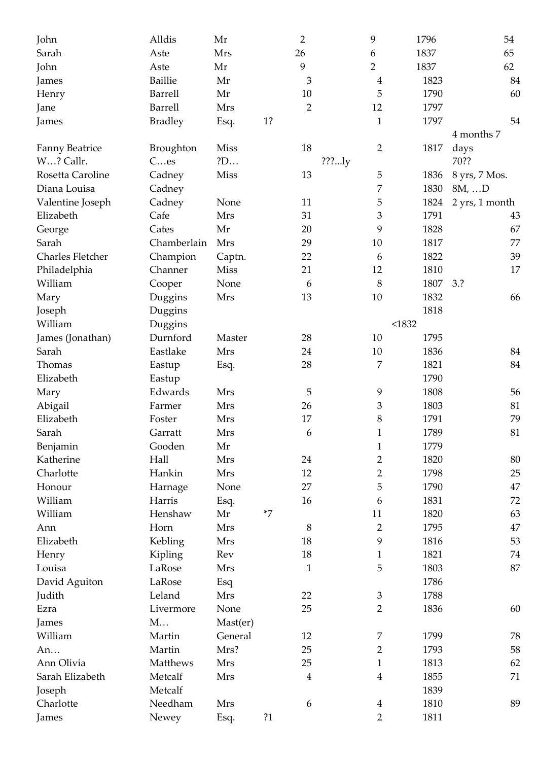| John                  | Alldis           | Mr          |      | $\overline{2}$ |       | 9                | 1796   | 54             |
|-----------------------|------------------|-------------|------|----------------|-------|------------------|--------|----------------|
| Sarah                 | Aste             | <b>Mrs</b>  |      | 26             |       | 6                | 1837   | 65             |
| John                  | Aste             | Mr          |      | 9              |       | $\overline{2}$   | 1837   | 62             |
| James                 | <b>Baillie</b>   | Mr          |      | 3              |       | $\boldsymbol{4}$ | 1823   | 84             |
| Henry                 | <b>Barrell</b>   | Mr          |      | $10\,$         |       | 5                | 1790   | 60             |
| Jane                  | <b>Barrell</b>   | Mrs         |      | $\overline{2}$ |       | 12               | 1797   |                |
| James                 | <b>Bradley</b>   | Esq.        | 1?   |                |       | $\mathbf{1}$     | 1797   | 54             |
|                       |                  |             |      |                |       |                  |        | 4 months 7     |
| <b>Fanny Beatrice</b> | <b>Broughton</b> | <b>Miss</b> |      | 18             |       | $\overline{2}$   | 1817   | days           |
| W? Callr.             | Ces              | ?D          |      |                | ???ly |                  |        | 70??           |
| Rosetta Caroline      | Cadney           | Miss        |      | 13             |       | 5                | 1836   | 8 yrs, 7 Mos.  |
| Diana Louisa          | Cadney           |             |      |                |       | 7                | 1830   | $8M, \ldots D$ |
| Valentine Joseph      | Cadney           | None        |      | 11             |       | 5                | 1824   | 2 yrs, 1 month |
| Elizabeth             | Cafe             | Mrs         |      | 31             |       | 3                | 1791   | 43             |
| George                | Cates            | Mr          |      | 20             |       | 9                | 1828   | 67             |
| Sarah                 | Chamberlain      | Mrs         |      | 29             |       | 10               | 1817   | 77             |
| Charles Fletcher      | Champion         | Captn.      |      | 22             |       | 6                | 1822   | 39             |
| Philadelphia          | Channer          | <b>Miss</b> |      | 21             |       | 12               | 1810   | 17             |
| William               | Cooper           | None        |      | 6              |       | 8                | 1807   | 3.2            |
| Mary                  | Duggins          | Mrs         |      | 13             |       | 10               | 1832   | 66             |
| Joseph                | Duggins          |             |      |                |       |                  | 1818   |                |
| William               | Duggins          |             |      |                |       |                  | < 1832 |                |
| James (Jonathan)      | Durnford         | Master      |      | 28             |       | 10               | 1795   |                |
| Sarah                 | Eastlake         | Mrs         |      | 24             |       | 10               | 1836   | 84             |
| Thomas                | Eastup           | Esq.        |      | 28             |       | $\overline{7}$   | 1821   | 84             |
| Elizabeth             | Eastup           |             |      |                |       |                  | 1790   |                |
| Mary                  | Edwards          | Mrs         |      | 5              |       | 9                | 1808   | 56             |
| Abigail               | Farmer           | Mrs         |      | 26             |       | 3                | 1803   | 81             |
| Elizabeth             | Foster           | Mrs         |      | 17             |       | 8                | 1791   | 79             |
| Sarah                 | Garratt          | Mrs         |      | 6              |       | $\mathbf{1}$     | 1789   | 81             |
| Benjamin              | Gooden           | Mr          |      |                |       | $\mathbf{1}$     | 1779   |                |
| Katherine             | Hall             | Mrs         |      | 24             |       | $\overline{2}$   | 1820   | 80             |
| Charlotte             | Hankin           | Mrs         |      | 12             |       | $\overline{2}$   | 1798   | 25             |
| Honour                | Harnage          | None        |      | 27             |       | 5                | 1790   | 47             |
| William               | Harris           | Esq.        |      | 16             |       | 6                | 1831   | 72             |
| William               | Henshaw          | Mr          | $*7$ |                |       | 11               | 1820   | 63             |
| Ann                   | Horn             | Mrs         |      | 8              |       | $\overline{2}$   | 1795   | 47             |
| Elizabeth             | Kebling          | Mrs         |      | 18             |       | 9                | 1816   | 53             |
| Henry                 | Kipling          | Rev         |      | 18             |       | $\mathbf{1}$     | 1821   | 74             |
| Louisa                | LaRose           | Mrs         |      | $\mathbf{1}$   |       | 5                | 1803   | 87             |
| David Aguiton         | LaRose           | Esq         |      |                |       |                  | 1786   |                |
| Judith                | Leland           | Mrs         |      | 22             |       | $\mathfrak{Z}$   | 1788   |                |
| Ezra                  | Livermore        | None        |      | 25             |       | $\overline{2}$   | 1836   | 60             |
| James                 | M                | Mast(er)    |      |                |       |                  |        |                |
| William               | Martin           | General     |      | 12             |       | 7                | 1799   | 78             |
| An                    | Martin           | Mrs?        |      | 25             |       | $\overline{2}$   | 1793   | 58             |
| Ann Olivia            | Matthews         | Mrs         |      | 25             |       | $\mathbf{1}$     | 1813   | 62             |
| Sarah Elizabeth       | Metcalf          | Mrs         |      | $\overline{4}$ |       | $\overline{4}$   | 1855   | 71             |
| Joseph                | Metcalf          |             |      |                |       |                  | 1839   |                |
| Charlotte             | Needham          | Mrs         |      | 6              |       | $\overline{4}$   | 1810   | 89             |
| James                 | Newey            | Esq.        | ?1   |                |       | $\overline{2}$   | 1811   |                |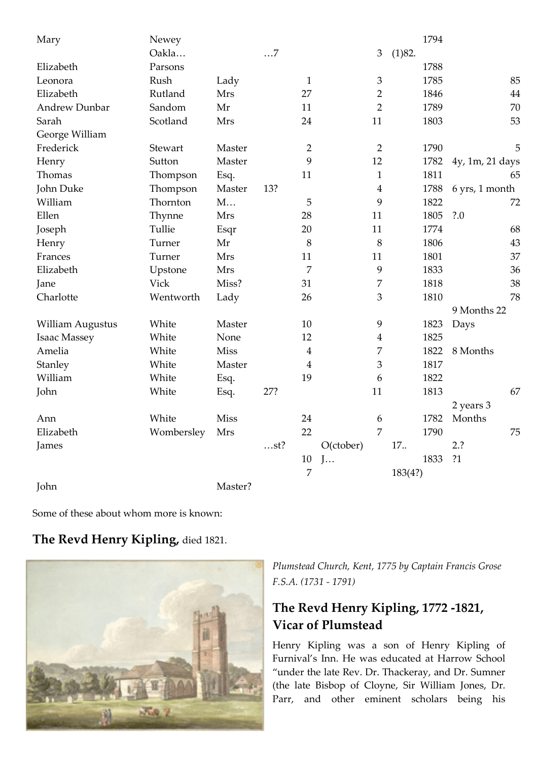| Mary                    | Newey       |             |           |                  |           |                  |         | 1794 |                 |    |
|-------------------------|-------------|-------------|-----------|------------------|-----------|------------------|---------|------|-----------------|----|
|                         | Oakla       |             | $\dots 7$ |                  |           | $\mathfrak{Z}$   | (1)82.  |      |                 |    |
| Elizabeth               | Parsons     |             |           |                  |           |                  |         | 1788 |                 |    |
| Leonora                 | Rush        | Lady        |           | $\mathbf{1}$     |           | $\mathfrak 3$    |         | 1785 |                 | 85 |
| Elizabeth               | Rutland     | Mrs         |           | 27               |           | $\overline{2}$   |         | 1846 |                 | 44 |
| <b>Andrew Dunbar</b>    | Sandom      | Mr          |           | 11               |           | $\overline{2}$   |         | 1789 |                 | 70 |
| Sarah                   | Scotland    | Mrs         |           | 24               |           | 11               |         | 1803 |                 | 53 |
| George William          |             |             |           |                  |           |                  |         |      |                 |    |
| Frederick               | Stewart     | Master      |           | $\overline{2}$   |           | $\overline{2}$   |         | 1790 |                 | 5  |
| Henry                   | Sutton      | Master      |           | 9                |           | 12               |         | 1782 | 4y, 1m, 21 days |    |
| Thomas                  | Thompson    | Esq.        |           | 11               |           | $\mathbf{1}$     |         | 1811 |                 | 65 |
| John Duke               | Thompson    | Master      | 13?       |                  |           | $\overline{4}$   |         | 1788 | 6 yrs, 1 month  |    |
| William                 | Thornton    | M           |           | 5                |           | 9                |         | 1822 |                 | 72 |
| Ellen                   | Thynne      | Mrs         |           | 28               |           | 11               |         | 1805 | ?.0             |    |
| Joseph                  | Tullie      | Esqr        |           | 20               |           | 11               |         | 1774 |                 | 68 |
| Henry                   | Turner      | Mr          |           | 8                |           | 8                |         | 1806 |                 | 43 |
| Frances                 | Turner      | Mrs         |           | 11               |           | 11               |         | 1801 |                 | 37 |
| Elizabeth               | Upstone     | Mrs         |           | 7                |           | $\overline{9}$   |         | 1833 |                 | 36 |
| Jane                    | <b>Vick</b> | Miss?       |           | 31               |           | 7                |         | 1818 |                 | 38 |
| Charlotte               | Wentworth   | Lady        |           | 26               |           | 3                |         | 1810 |                 | 78 |
|                         |             |             |           |                  |           |                  |         |      | 9 Months 22     |    |
| <b>William Augustus</b> | White       | Master      |           | 10               |           | 9                |         | 1823 | Days            |    |
| Isaac Massey            | White       | None        |           | 12               |           | $\boldsymbol{4}$ |         | 1825 |                 |    |
| Amelia                  | White       | <b>Miss</b> |           | $\boldsymbol{4}$ |           | 7                |         | 1822 | 8 Months        |    |
| Stanley                 | White       | Master      |           | $\overline{4}$   |           | 3                |         | 1817 |                 |    |
| William                 | White       | Esq.        |           | 19               |           | 6                |         | 1822 |                 |    |
| John                    | White       | Esq.        | 27?       |                  |           | 11               |         | 1813 |                 | 67 |
|                         |             |             |           |                  |           |                  |         |      | 2 years 3       |    |
| Ann                     | White       | <b>Miss</b> |           | 24               |           | $\boldsymbol{6}$ |         | 1782 | Months          |    |
| Elizabeth               | Wombersley  | Mrs         |           | 22               |           | 7                |         | 1790 |                 | 75 |
| James                   |             |             | st?       |                  | O(ctober) |                  | 17      |      | 2.?             |    |
|                         |             |             |           | $10\,$           | J         |                  |         | 1833 | ?1              |    |
|                         |             |             |           | 7                |           |                  | 183(4?) |      |                 |    |
| John                    |             | Master?     |           |                  |           |                  |         |      |                 |    |

Some of these about whom more is known:

### **The Revd Henry Kipling,** died 1821.



*Plumstead Church, Kent, 1775 by Captain Francis Grose F.S.A. (1731 - 1791)*

# **The Revd Henry Kipling, 1772 -1821, Vicar of Plumstead**

Henry Kipling was a son of Henry Kipling of Furnival's Inn. He was educated at Harrow School "under the late Rev. Dr. Thackeray, and Dr. Sumner (the late Bisbop of Cloyne, Sir William Jones, Dr. Parr, and other eminent scholars being his